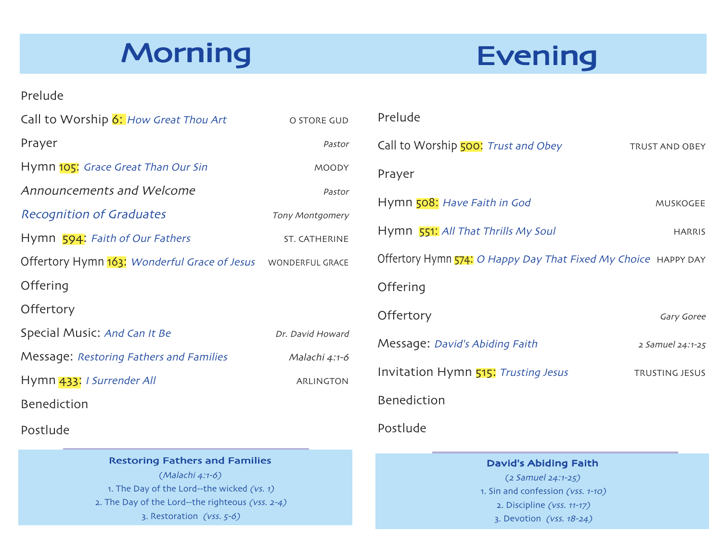## Morning

## **Evening**

#### Prelude

| Call to Worship 6: How Great Thou Art                        | O STORE GUD      |
|--------------------------------------------------------------|------------------|
| Prayer                                                       | Pastor           |
| Hymn 105: Grace Great Than Our Sin                           | <b>MOODY</b>     |
| Announcements and Welcome                                    | Pastor           |
| <b>Recognition of Graduates</b>                              | Tony Montgomery  |
| Hymn 594: Faith of Our Fathers                               | ST. CATHERINE    |
| Offertory Hymn 163: Wonderful Grace of Jesus WONDERFUL GRACE |                  |
| Offering                                                     |                  |
| Offertory                                                    |                  |
| Special Music: And Can It Be                                 | Dr. David Howard |
| Message: Restoring Fathers and Families                      | Malachi 4:1-6    |
| Hymn 433: I Surrender All                                    | ARLINGTON        |
| <b>Benediction</b>                                           |                  |
| Postlude                                                     |                  |

#### **Restoring Fathers and Families**

(Malachi 4:1-6) 1. The Day of the Lord--the wicked  $(vs. 1)$ 2. The Day of the Lord--the righteous ( $vss.$  2-4) 3. Restoration ( $\sqrt{v}$ ss.  $5-6$ )

| Prelude                                                        |                       |
|----------------------------------------------------------------|-----------------------|
| Call to Worship 500: Trust and Obey                            | <b>TRUST AND OBEY</b> |
| Prayer                                                         |                       |
| Hymn 508: Have Faith in God                                    | <b>MUSKOGEE</b>       |
| Hymn 551: All That Thrills My Soul                             | <b>HARRIS</b>         |
| Offertory Hymn 574: O Happy Day That Fixed My Choice HAPPY DAY |                       |
| Offering                                                       |                       |
| Offertory                                                      | Gary Goree            |
| Message: David's Abiding Faith                                 | 2 Samuel 24:1-25      |
| Invitation Hymn 515: Trusting Jesus                            | <b>TRUSTING JESUS</b> |
| <b>Benediction</b>                                             |                       |
|                                                                |                       |

#### Postlude

#### David's Abiding Faith

 $(2 Samuel 24:1-25)$ 1. Sin and confession (vss. 1-10)  $2.$  Discipline (vss.  $11-17$ ) 3. Devotion (vss. 18-24)